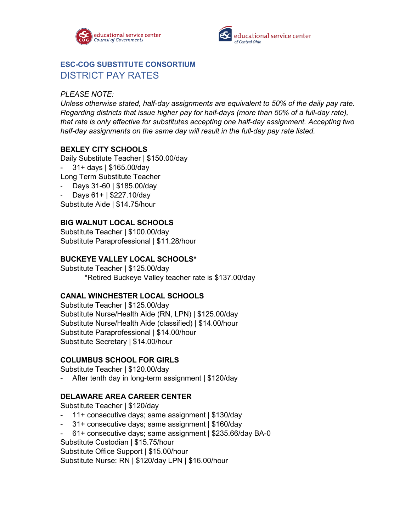



# **ESC-COG SUBSTITUTE CONSORTIUM** DISTRICT PAY RATES

### *PLEASE NOTE:*

*Unless otherwise stated, half-day assignments are equivalent to 50% of the daily pay rate. Regarding districts that issue higher pay for half-days (more than 50% of a full-day rate), that rate is only effective for substitutes accepting one half-day assignment. Accepting two half-day assignments on the same day will result in the full-day pay rate listed.* 

## **BEXLEY CITY SCHOOLS**

Daily Substitute Teacher | \$150.00/day

- 31+ days | \$165.00/day
- Long Term Substitute Teacher
- Days 31-60 | \$185.00/day
- Days 61+ | \$227.10/day

Substitute Aide | \$14.75/hour

### **BIG WALNUT LOCAL SCHOOLS**

Substitute Teacher | \$100.00/day Substitute Paraprofessional | \$11.28/hour

#### **BUCKEYE VALLEY LOCAL SCHOOLS\***

Substitute Teacher | \$125.00/day \*Retired Buckeye Valley teacher rate is \$137.00/day

#### **CANAL WINCHESTER LOCAL SCHOOLS**

Substitute Teacher | \$125.00/day Substitute Nurse/Health Aide (RN, LPN) | \$125.00/day Substitute Nurse/Health Aide (classified) | \$14.00/hour Substitute Paraprofessional | \$14.00/hour Substitute Secretary | \$14.00/hour

#### **COLUMBUS SCHOOL FOR GIRLS**

Substitute Teacher | \$120.00/day

After tenth day in long-term assignment | \$120/day

#### **DELAWARE AREA CAREER CENTER**

Substitute Teacher | \$120/day

- 11+ consecutive days; same assignment | \$130/day
- 31+ consecutive days; same assignment | \$160/day
- 61+ consecutive days; same assignment | \$235.66/day BA-0
- Substitute Custodian | \$15.75/hour

Substitute Office Support | \$15.00/hour

Substitute Nurse: RN | \$120/day LPN | \$16.00/hour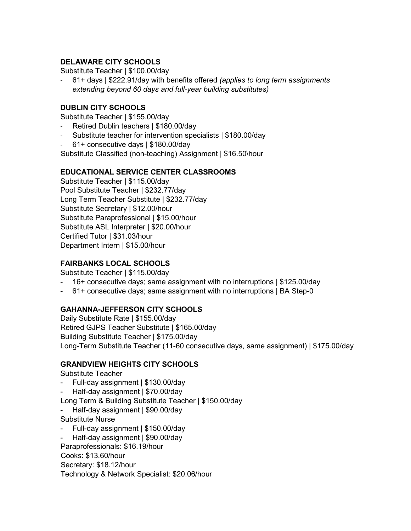## **DELAWARE CITY SCHOOLS**

Substitute Teacher | \$100.00/day

- 61+ days | \$222.91/day with benefits offered *(applies to long term assignments extending beyond 60 days and full-year building substitutes)*

## **DUBLIN CITY SCHOOLS**

Substitute Teacher | \$155.00/day

- Retired Dublin teachers | \$180.00/day
- Substitute teacher for intervention specialists | \$180.00/day
- 61+ consecutive days | \$180.00/day

Substitute Classified (non-teaching) Assignment | \$16.50\hour

### **EDUCATIONAL SERVICE CENTER CLASSROOMS**

Substitute Teacher | \$115.00/day Pool Substitute Teacher | \$232.77/day Long Term Teacher Substitute | \$232.77/day Substitute Secretary | \$12.00/hour Substitute Paraprofessional | \$15.00/hour Substitute ASL Interpreter | \$20.00/hour Certified Tutor | \$31.03/hour Department Intern | \$15.00/hour

## **FAIRBANKS LOCAL SCHOOLS**

Substitute Teacher | \$115.00/day

- 16+ consecutive days; same assignment with no interruptions | \$125.00/day
- 61+ consecutive days; same assignment with no interruptions | BA Step-0

## **GAHANNA-JEFFERSON CITY SCHOOLS**

Daily Substitute Rate | \$155.00/day Retired GJPS Teacher Substitute | \$165.00/day Building Substitute Teacher | \$175.00/day Long-Term Substitute Teacher (11-60 consecutive days, same assignment) | \$175.00/day

## **GRANDVIEW HEIGHTS CITY SCHOOLS**

Substitute Teacher

- Full-day assignment | \$130.00/day
- Half-day assignment | \$70.00/day

Long Term & Building Substitute Teacher | \$150.00/day

- Half-day assignment | \$90.00/day
- Substitute Nurse
- Full-day assignment | \$150.00/day
- Half-day assignment | \$90.00/day

Paraprofessionals: \$16.19/hour

Cooks: \$13.60/hour

Secretary: \$18.12/hour

Technology & Network Specialist: \$20.06/hour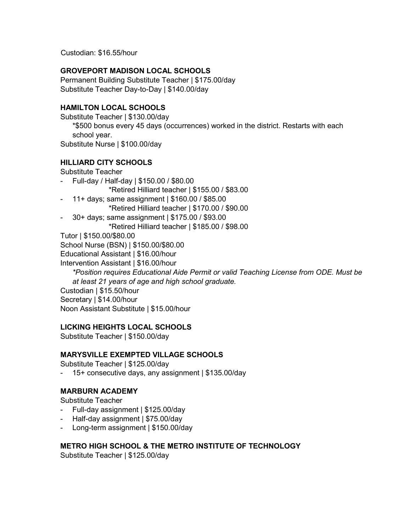Custodian: \$16.55/hour

#### **GROVEPORT MADISON LOCAL SCHOOLS**

Permanent Building Substitute Teacher | \$175.00/day Substitute Teacher Day-to-Day | \$140.00/day

## **HAMILTON LOCAL SCHOOLS**

Substitute Teacher | \$130.00/day

\*\$500 bonus every 45 days (occurrences) worked in the district. Restarts with each school year.

Substitute Nurse | \$100.00/day

## **HILLIARD CITY SCHOOLS**

Substitute Teacher

- Full-day / Half-day | \$150.00 / \$80.00 \*Retired Hilliard teacher | \$155.00 / \$83.00
- 11+ days; same assignment | \$160.00 / \$85.00
- \*Retired Hilliard teacher | \$170.00 / \$90.00
- 30+ days; same assignment | \$175.00 / \$93.00

\*Retired Hilliard teacher | \$185.00 / \$98.00

Tutor | \$150.00/\$80.00

School Nurse (BSN) | \$150.00/\$80.00

Educational Assistant | \$16.00/hour

Intervention Assistant | \$16.00/hour

*\*Position requires Educational Aide Permit or valid Teaching License from ODE. Must be at least 21 years of age and high school graduate.*

Custodian | \$15.50/hour Secretary | \$14.00/hour

Noon Assistant Substitute | \$15.00/hour

#### **LICKING HEIGHTS LOCAL SCHOOLS**

Substitute Teacher | \$150.00/day

## **MARYSVILLE EXEMPTED VILLAGE SCHOOLS**

Substitute Teacher | \$125.00/day

- 15+ consecutive days, any assignment | \$135.00/day

## **MARBURN ACADEMY**

Substitute Teacher

- Full-day assignment | \$125.00/day
- Half-day assignment | \$75.00/day
- Long-term assignment | \$150.00/day

## **METRO HIGH SCHOOL & THE METRO INSTITUTE OF TECHNOLOGY**

Substitute Teacher | \$125.00/day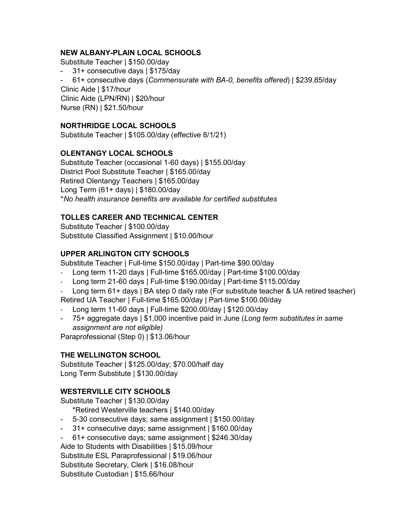## **NEW ALBANY-PLAIN LOCAL SCHOOLS**

Substitute Teacher | \$150.00/day

- 31+ consecutive days | \$175/day
- 61+ consecutive days (*Commensurate with BA-0, benefits offered*) | \$239.85/day

 Clinic Aide | \$17/hour Clinic Aide (LPN/RN) | \$20/hour Nurse (RN) | \$21.50/hour

## **NORTHRIDGE LOCAL SCHOOLS**

Substitute Teacher | \$105.00/day (effective 8/1/21)

# **OLENTANGY LOCAL SCHOOLS**

Substitute Teacher (occasional 1-60 days) | \$155.00/day District Pool Substitute Teacher | \$165.00/day Retired Olentangy Teachers | \$165.00/day Long Term (61+ days) | \$180.00/day \**No health insurance benefits are available for certified substitutes*

# **TOLLES CAREER AND TECHNICAL CENTER**

Substitute Teacher | \$100.00/day Substitute Classified Assignment | \$10.00/hour

# **UPPER ARLINGTON CITY SCHOOLS**

Substitute Teacher | Full-time \$150.00/day | Part-time \$90.00/day

- Long term 11-20 days | Full-time \$165.00/day | Part-time \$100.00/day
- Long term 21-60 days | Full-time \$190.00/day | Part-time \$115.00/day
- Long term 61+ days | BA step 0 daily rate (For substitute teacher & UA retired teacher)

Retired UA Teacher | Full-time \$165.00/day | Part-time \$100.00/day

- Long term 11-60 days | Full-time \$200.00/day | \$120.00/day
- 75+ aggregate days | \$1,000 incentive paid in June (*Long term substitutes in same assignment are not eligible)*

Paraprofessional (Step 0) | \$13.06/hour

## **THE WELLINGTON SCHOOL**

Substitute Teacher | \$125.00/day; \$70.00/half day Long Term Substitute | \$130.00/day

# **WESTERVILLE CITY SCHOOLS**

Substitute Teacher | \$130.00/day

\*Retired Westerville teachers | \$140.00/day

- 5-30 consecutive days; same assignment | \$150.00/day
- 31+ consecutive days; same assignment | \$160.00/day
- 61+ consecutive days; same assignment | \$246.30/day

Aide to Students with Disabilities | \$15.09/hour

Substitute ESL Paraprofessional | \$19.06/hour

Substitute Secretary, Clerk | \$16.08/hour

Substitute Custodian | \$15.66/hour